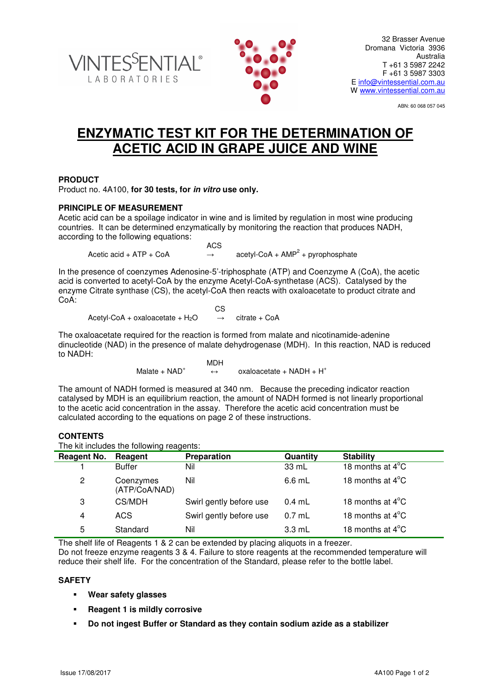



ABN: 60 068 057 045

# **ENZYMATIC TEST KIT FOR THE DETERMINATION OF ACETIC ACID IN GRAPE JUICE AND WINE**

# **PRODUCT**

Product no. 4A100, **for 30 tests, for in vitro use only.**

# **PRINCIPLE OF MEASUREMENT**

Acetic acid can be a spoilage indicator in wine and is limited by regulation in most wine producing countries. It can be determined enzymatically by monitoring the reaction that produces NADH, according to the following equations:

**ACS ACS** Acetic acid +  $ATP + CoA$  $acetyl-CoA + AMP<sup>2</sup> + pyrophosphate$ 

In the presence of coenzymes Adenosine-5'-triphosphate (ATP) and Coenzyme A (CoA), the acetic acid is converted to acetyl-CoA by the enzyme Acetyl-CoA-synthetase (ACS). Catalysed by the enzyme Citrate synthase (CS), the acetyl-CoA then reacts with oxaloacetate to product citrate and CoA:

**CS CS** Acetyl-CoA + oxaloacetate +  $H_2O \rightarrow$  citrate + CoA

The oxaloacetate required for the reaction is formed from malate and nicotinamide-adenine dinucleotide (NAD) in the presence of malate dehydrogenase (MDH). In this reaction, NAD is reduced to NADH:

> MDH Malate  $+$  NAD<sup>+</sup>  $\leftrightarrow$  oxaloacetate + NADH + H<sup>+</sup>

The amount of NADH formed is measured at 340 nm. Because the preceding indicator reaction catalysed by MDH is an equilibrium reaction, the amount of NADH formed is not linearly proportional to the acetic acid concentration in the assay. Therefore the acetic acid concentration must be calculated according to the equations on page 2 of these instructions.

### **CONTENTS**

The kit includes the following reagents:

| The incredible the following reagents. |                         |          |                            |
|----------------------------------------|-------------------------|----------|----------------------------|
| Reagent                                | Preparation             | Quantity | <b>Stability</b>           |
| <b>Buffer</b>                          | Nil                     | 33 mL    | 18 months at $4^{\circ}$ C |
| Coenzymes<br>(ATP/CoA/NAD)             | Nil                     | $6.6$ mL | 18 months at $4^{\circ}$ C |
| CS/MDH                                 | Swirl gently before use | $0.4$ mL | 18 months at $4^{\circ}$ C |
| <b>ACS</b>                             | Swirl gently before use | $0.7$ mL | 18 months at $4^{\circ}$ C |
| Standard                               | Nil                     | $3.3$ mL | 18 months at $4^{\circ}$ C |
|                                        |                         |          |                            |

The shelf life of Reagents 1 & 2 can be extended by placing aliquots in a freezer.

Do not freeze enzyme reagents 3 & 4. Failure to store reagents at the recommended temperature will reduce their shelf life. For the concentration of the Standard, please refer to the bottle label.

## **SAFETY**

- **Wear safety glasses**
- **Reagent 1 is mildly corrosive**
- **Do not ingest Buffer or Standard as they contain sodium azide as a stabilizer**